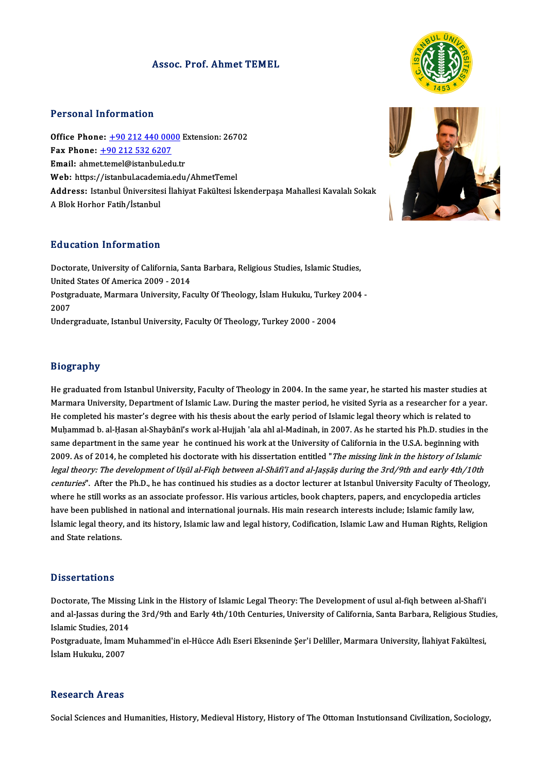## Assoc. Prof. Ahmet TEMEL



## Personal Information

Office Phone: +90 212 440 0000Extension:26702 1 0133111 11101 11110111<br>
0ffice Phone: <u>+90 212 440 000</u><br>
Fax Phone: <u>+90 212 532 6207</u><br>
Email: chmattemal@istanbul.edi Office Phone: <u>+90 212 440 0000</u> E<br>Fax Phone: <u>+90 212 532 6207</u><br>Email: ahme[t.temel@istanbul.ed](tel:+90 212 532 6207)[u.t](tel:+90 212 440 0000)r Email: ahmet.temel@istanbul.edu.tr<br>Web: https://istanbul.academia.edu/AhmetTemel Email: ahmet.temel@istanbul.edu.tr<br>Web: https://istanbul.academia.edu/AhmetTemel<br>Address: Istanbul Üniversitesi İlahiyat Fakültesi İskenderpaşa Mahallesi Kavalalı Sokak<br>A Blok Horbor Fatih/İstanbul Web: https://istanbul.acaden<br>Address: Istanbul Üniversites<br>A Blok Horhor Fatih/İstanbul A Blok Horhor Fatih/İstanbul<br>Education Information

Education Information<br>Doctorate, University of California, Santa Barbara, Religious Studies, Islamic Studies,<br>United States Of America 2009, 2014 Paraceton Information<br>Doctorate, University of California, San<br>United States Of America 2009 - 2014 Doctorate, University of California, Santa Barbara, Religious Studies, Islamic Studies,<br>United States Of America 2009 - 2014<br>Postgraduate, Marmara University, Faculty Of Theology, İslam Hukuku, Turkey 2004 -<br>2007 United<br>Postgi<br>2007<br>Under Postgraduate, Marmara University, Faculty Of Theology, İslam Hukuku, Turkey<br>2007<br>Undergraduate, Istanbul University, Faculty Of Theology, Turkey 2000 - 2004 Undergraduate, Istanbul University, Faculty Of Theology, Turkey 2000 - 2004<br>Biography

He graduated from Istanbul University, Faculty of Theology in 2004. In the same year, he started his master studies at Brograpny<br>He graduated from Istanbul University, Faculty of Theology in 2004. In the same year, he started his master studies at<br>Marmara University, Department of Islamic Law. During the master period, he visited Syria as He graduated from Istanbul University, Faculty of Theology in 2004. In the same year, he started his master studie<br>Marmara University, Department of Islamic Law. During the master period, he visited Syria as a researcher f Marmara University, Department of Islamic Law. During the master period, he visited Syria as a researcher for a year.<br>He completed his master's degree with his thesis about the early period of Islamic legal theory which is He completed his master's degree with his thesis about the early period of Islamic legal theory which is related to<br>Muḥammad b. al-Ḥasan al-Shaybānī's work al-Hujjah 'ala ahl al-Madinah, in 2007. As he started his Ph.D. st Muḥammad b. al-Ḥasan al-Shaybānī's work al-Hujjah 'ala ahl al-Madinah, in 2007. As he started his Ph.D. studies in th<br>same department in the same year he continued his work at the University of California in the U.S.A. beg legal theory: The development of Uṣūl al-Fiqh between al-Shāfi'ī and al-Jaṣṣāṣ during the 3rd/9th and early 4th/10th<br>centuries". After the Ph.D., he has continued his studies as a doctor lecturer at Istanbul University Fac 2009. As of 2014, he completed his doctorate with his dissertation entitled "*The missing link in the history of Islamic*<br>*legal theory: The development of Uşūl al-Fiqh between al-Shāfi'ī and al-Jașșāș during the 3rd/9th a* centuries". After the Ph.D., he has continued his studies as a doctor lecturer at Istanbul University Faculty of Theology, where he still works as an associate professor. His various articles, book chapters, papers, and en where he still works as an associate professor. His various articles, book chapters, papers, and encyclopedia articles<br>have been published in national and international journals. His main research interests include; Islami have been publishe<br>İslamic legal theory<br>and State relations. and State relations.<br>Dissertations

Doctorate, The Missing Link in the History of Islamic Legal Theory: The Development of usul al-fiqh between al-Shafi'i Basser carrons<br>Doctorate, The Missing Link in the History of Islamic Legal Theory: The Development of usul al-fiqh between al-Shafi'i<br>and al-Jassas during the 3rd/9th and Early 4th/10th Centuries, University of California, Doctorate, The Missin<br>and al-Jassas during t<br>Islamic Studies, 2014<br>Bostareduste, İmam M and al-Jassas during the 3rd/9th and Early 4th/10th Centuries, University of California, Santa Barbara, Religious Studi<br>Islamic Studies, 2014<br>Postgraduate, İmam Muhammed'in el-Hücce Adlı Eseri Ekseninde Şer'i Deliller, Mar

Islamic Studies, 2014<br>Postgraduate, İmam Muhammed'in el-Hücce Adlı Eseri Ekseninde Şer'i Deliller, Marmara University, İlahiyat Fakültesi,<br>İslam Hukuku, 2007

### **Research Areas**

Social Sciences and Humanities, History, Medieval History, History of The Ottoman Instutionsand Civilization, Sociology,

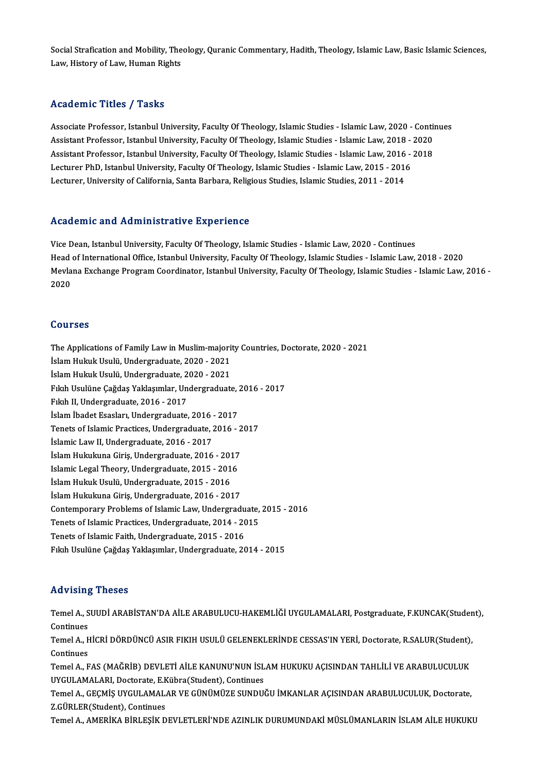Social Strafication and Mobility, Theology, Quranic Commentary, Hadith, Theology, Islamic Law, Basic Islamic Sciences,<br>Law, Histawy of Law, Human Bights Social Strafication and Mobility, The<br>Law, History of Law, Human Rights Law, History of Law, Human Rights<br>Academic Titles / Tasks

Academic Titles / Tasks<br>Associate Professor, Istanbul University, Faculty Of Theology, Islamic Studies - Islamic Law, 2020 - Continues<br>Assistant Professor, Istanbul University, Faculty Of Theology, Islamic Studies - Islami Associate Professor, Istanbul University, Faculty Of Theology, Islamic Studies - Islamic Law, 2020 - Contin<br>Assistant Professor, Istanbul University, Faculty Of Theology, Islamic Studies - Islamic Law, 2018 - 2020<br>Assistan Associate Professor, Istanbul University, Faculty Of Theology, Islamic Studies - Islamic Law, 2020 - Conti<br>Assistant Professor, Istanbul University, Faculty Of Theology, Islamic Studies - Islamic Law, 2018 - 2020<br>Assistant Assistant Professor, Istanbul University, Faculty Of Theology, Islamic Studies - Islamic Law, 2018 - 2020<br>Assistant Professor, Istanbul University, Faculty Of Theology, Islamic Studies - Islamic Law, 2016 - 2018<br>Lecturer P Assistant Professor, Istanbul University, Faculty Of Theology, Islamic Studies - Islamic Law, 2016 - 2018

## Academic and Administrative Experience

Vice Dean, Istanbul University, Faculty Of Theology, Islamic Studies - Islamic Law, 2020 - Continues Head of International University, Faculty Of Theology, Islamic Studies - Islamic Law, 2020 - Continues<br>Head of International Office, Istanbul University, Faculty Of Theology, Islamic Studies - Islamic Law, 2018 - 2020<br>Mexi Mevlana Exchange Program Coordinator, Istanbul University, Faculty Of Theology, Islamic Studies - Islamic Law, 2016 -<br>2020 Head<br>Mevla<br>2020

## Courses

Courses<br>The Applications of Family Law in Muslim-majority Countries, Doctorate, 2020 - 2021<br>İslam Huluk Haylü, Undergraduate, 2020, 2021 **The Applications of Family Law in Muslim-majori<br>İslam Hukuk Usulü, Undergraduate, 2020 - 2021<br>İslam Hukuk Usulü, Undergraduate, 2020 - 2021** The Applications of Family Law in Muslim-majori<br>İslam Hukuk Usulü, Undergraduate, 2020 - 2021<br>İslam Hukuk Usulü, Undergraduate, 2020 - 2021<br>Film Havlüne Cağdas Yaklasımlar, Undergraduatı İslam Hukuk Usulü, Undergraduate, 2020 - 2021<br>İslam Hukuk Usulü, Undergraduate, 2020 - 2021<br>Fıkıh Usulüne Çağdaş Yaklaşımlar, Undergraduate, 2016 - 2017<br>Fılnh II Undergraduate, 2016 - 2017 İslam Hukuk Usulü, Undergraduate, 2020 - 2021<br>Fıkıh Usulüne Çağdaş Yaklaşımlar, Undergraduate,<br>Fıkıh II, Undergraduate, 2016 - 2017<br>İslam İbadet Esasları, Undergraduate, 2016 - 2017 Fıkıh Usulüne Çağdaş Yaklaşımlar, Undergraduate, .<br>Fıkıh II, Undergraduate, 2016 - 2017<br>İslam İbadet Esasları, Undergraduate, 2016 - 2017<br>Teneta ef Jalamia Practices, Undergraduate, 2016 Fıkıh II, Undergraduate, 2016 - 2017<br>İslam İbadet Esasları, Undergraduate, 2016 - 2017<br>Tenets of Islamic Practices, Undergraduate, 2016 - 2017<br>İslamis Lau: II. Undergraduate, 2016 - 2017 İslam İbadet Esasları, Undergraduate, 2016<br>Tenets of Islamic Practices, Undergraduate, 2<br>İslamic Law II, Undergraduate, 2016 - 2017<br>İslam Hulpılnına Ciris, Undergraduata, 2016 Tenets of Islamic Practices, Undergraduate, 2016 - 2<br>İslamic Law II, Undergraduate, 2016 - 2017<br>İslam Hukukuna Giriş, Undergraduate, 2016 - 2017<br>Islamis Legal Theory, Undergraduate, 2015 - 2016 İslamic Law II, Undergraduate, 2016 - 2017<br>İslam Hukukuna Giriş, Undergraduate, 2016 - 2017<br>Islamic Legal Theory, Undergraduate, 2015 - 2016<br>İslam Hukuk Haylö, Undergraduate, 2015 - 2016 İslam Hukukuna Giriş, Undergraduate, 2016 - 2015<br>Islamic Legal Theory, Undergraduate, 2015 - 2016<br>İslam Hukuk Usulü, Undergraduate, 2015 - 2016<br>İslam Hukukuna Ciris Undergraduate, 2016 - 201 Islamic Legal Theory, Undergraduate, 2015 - 2016<br>İslam Hukuk Usulü, Undergraduate, 2015 - 2016<br>İslam Hukukuna Giriş, Undergraduate, 2016 - 2017<br>Contemporary Problems of Islamis Law Undergrad İslam Hukuk Usulü, Undergraduate, 2015 - 2016<br>İslam Hukukuna Giriş, Undergraduate, 2016 - 2017<br>Contemporary Problems of Islamic Law, Undergraduate, 2015 - 2016<br>Tenets of Islamic Practices, Undergraduate, 2014 - 2015 Islam Hukukuna Giriş, Undergraduate, 2016 - 2017<br>Contemporary Problems of Islamic Law, Undergraduate,<br>Tenets of Islamic Practices, Undergraduate, 2014 - 2015<br>Tenets of Islamic Faith, Undergraduate, 2015 - 2016 Tenets of Islamic Faith, Undergraduate, 2015 - 2016 Fıkıh Usulüne Çağdaş Yaklaşımlar, Undergraduate, 2014 - 2015

## Advising Theses

Advising Theses<br>Temel A., SUUDİ ARABİSTAN'DA AİLE ARABULUCU-HAKEMLİĞİ UYGULAMALARI, Postgraduate, F.KUNCAK(Student),<br>Centinuas Temel A., S<br>Continues<br>Tomal A. H Temel A., SUUDİ ARABİSTAN'DA AİLE ARABULUCU-HAKEMLİĞİ UYGULAMALARI, Postgraduate, F.KUNCAK(Studer<br>Continues<br>Temel A., HİCRİ DÖRDÜNCÜ ASIR FIKIH USULÜ GELENEKLERİNDE CESSAS'IN YERİ, Doctorate, R.SALUR(Student),<br>Continues

Continues<br>Temel A., H<br>Continues<br>Temel A. E Temel A., HİCRİ DÖRDÜNCÜ ASIR FIKIH USULÜ GELENEKLERİNDE CESSAS'IN YERİ, Doctorate, R.SALUR(Student),<br>Continues<br>Temel A., FAS (MAĞRİB) DEVLETİ AİLE KANUNU'NUN İSLAM HUKUKU AÇISINDAN TAHLİLİ VE ARABULUCULUK<br>UYCULAMALARL Des

Continues<br>Temel A., FAS (MAĞRİB) DEVLETİ AİLE KANUNU'NUN İSL<br>UYGULAMALARI, Doctorate, E.Kübra(Student), Continues<br>Temel A. CECMİS UYCULAMALAR VE CÜNÜMÜZE SUNDU Temel A., FAS (MAĞRİB) DEVLETİ AİLE KANUNU'NUN İSLAM HUKUKU AÇISINDAN TAHLİLİ VE ARABULUCULUK<br>UYGULAMALARI, Doctorate, E.Kübra(Student), Continues<br>Temel A., GEÇMİŞ UYGULAMALAR VE GÜNÜMÜZE SUNDUĞU İMKANLAR AÇISINDAN ARABULU

UYGULAMALARI, Doctorate, E.K<br>Temel A., GEÇMİŞ UYGULAMAL*ı*<br>Z.GÜRLER(Student), Continues<br>Temel A., AMERİKA RİRI ESİK D Temel A., GEÇMİŞ UYGULAMALAR VE GÜNÜMÜZE SUNDUĞU İMKANLAR AÇISINDAN ARABULUCULUK, Doctorate,<br>Z.GÜRLER(Student), Continues<br>Temel A., AMERİKA BİRLEŞİK DEVLETLERİ'NDE AZINLIK DURUMUNDAKİ MÜSLÜMANLARIN İSLAM AİLE HUKUKU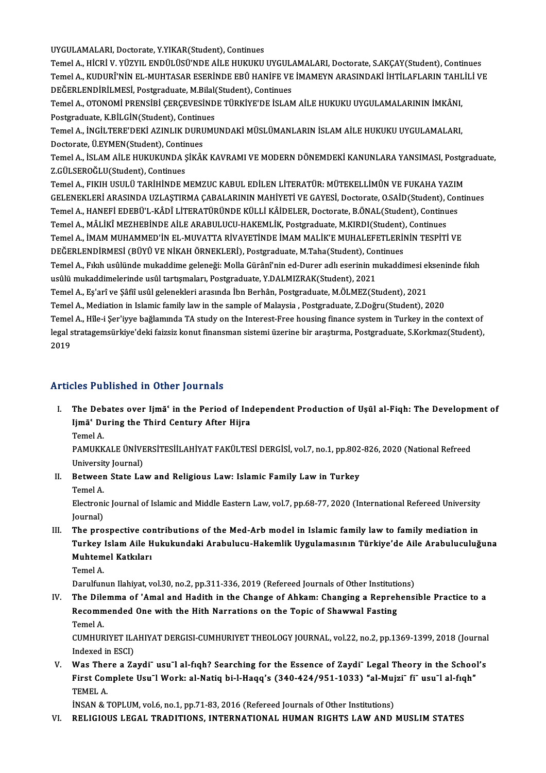UYGULAMALARI, Doctorate, Y.YIKAR(Student), Continues

UYGULAMALARI, Doctorate, Y.YIKAR(Student), Continues<br>Temel A., HİCRİ V. YÜZYIL ENDÜLÜSÜ'NDE AİLE HUKUKU UYGULAMALARI, Doctorate, S.AKÇAY(Student), Continues<br>Temel A., KUDUPÎ'NİN EL, MUHTASAR ESERİNDE ERÛ HANİEE VE İMAMEYN Temel A., KUDURÎ'NİN EL-MUHTASAR ESERİNDE EBÛ HANİFE VE İMAMEYN ARASINDAKİ İHTİLAFLARIN TAHLİLİ VE<br>DEĞERLENDİRİLMESİ, Postgraduate, M.Bilal(Student), Continues Temel A., HİCRİ V. YÜZYIL ENDÜLÜSÜ'NDE AİLE HUKUKU UYGUL.<br>Temel A., KUDURÎ'NİN EL-MUHTASAR ESERİNDE EBÛ HANİFE VE<br>DEĞERLENDİRİLMESİ, Postgraduate, M.Bilal(Student), Continues<br>Tamel A. OTONOMİ PRENSİRİ GERGEVESİNDE TÜRKİVE' Temel A., KUDURÎ'NİN EL-MUHTASAR ESERİNDE EBÛ HANİFE VE İMAMEYN ARASINDAKİ İHTİLAFLARIN TAHL<br>DEĞERLENDİRİLMESİ, Postgraduate, M.Bilal(Student), Continues<br>Temel A., OTONOMİ PRENSİBİ ÇERÇEVESİNDE TÜRKİYE'DE İSLAM AİLE HUKUKU

DEĞERLENDİRİLMESİ, Postgraduate, M.Bilal<br>Temel A., OTONOMİ PRENSİBİ ÇERÇEVESİND<br>Postgraduate, K.BİLGİN(Student), Continues<br>Temel A. İNCİLTERE'DEKİ AZINLIK DURUMI Temel A., OTONOMİ PRENSİBİ ÇERÇEVESİNDE TÜRKİYE'DE İSLAM AİLE HUKUKU UYGULAMALARININ İMKÂNI,<br>Postgraduate, K.BİLGİN(Student), Continues<br>Temel A., İNGİLTERE'DEKİ AZINLIK DURUMUNDAKİ MÜSLÜMANLARIN İSLAM AİLE HUKUKU UYGULAMAL

Postgraduate, K.BİLGİN(Student), Continu<br>Temel A., İNGİLTERE'DEKİ AZINLIK DURU<br>Doctorate, Ü.EYMEN(Student), Continues<br>Temel A. İSLAM AİLE HUKUKUNDA SİKÂL Temel A., İNGİLTERE'DEKİ AZINLIK DURUMUNDAKİ MÜSLÜMANLARIN İSLAM AİLE HUKUKU UYGULAMALARI,<br>Doctorate, Ü.EYMEN(Student), Continues<br>Temel A., İSLAM AİLE HUKUKUNDA ŞİKÂK KAVRAMI VE MODERN DÖNEMDEKİ KANUNLARA YANSIMASI, Postgr

Doctorate, Ü.EYMEN(Student), Continues<br>Temel A., İSLAM AİLE HUKUKUNDA ŞİKÂK KAVRAMI VE MODERN DÖNEMDEKİ KANUNLARA YANSIMASI, Postgraduate,<br>Z.GÜLSEROĞLU(Student), Continues Temel A., İSLAM AİLE HUKUKUNDA ŞİKÂK KAVRAMI VE MODERN DÖNEMDEKİ KANUNLARA YANSIMASI, Postgr<br>Z.GÜLSEROĞLU(Student), Continues<br>Temel A., FIKIH USULÜ TARİHİNDE MEMZUC KABUL EDİLEN LİTERATÜR: MÜTEKELLİMÛN VE FUKAHA YAZIM<br>CELE

Z.GÜLSEROĞLU(Student), Continues<br>Temel A., FIKIH USULÜ TARİHİNDE MEMZUC KABUL EDİLEN LİTERATÜR: MÜTEKELLİMÛN VE FUKAHA YAZIM<br>GELENEKLERİ ARASINDA UZLAŞTIRMA ÇABALARININ MAHİYETİ VE GAYESİ, Doctorate, O.SAİD(Student), Conti Temel A., FIKIH USULÜ TARİHİNDE MEMZUC KABUL EDİLEN LİTERATÜR: MÜTEKELLİMÛN VE FUKAHA YAZIN<br>GELENEKLERİ ARASINDA UZLAŞTIRMA ÇABALARININ MAHİYETİ VE GAYESİ, Doctorate, O.SAİD(Student), Con<br>Temel A., HANEFİ EDEBÜ'L-KÂDÎ LİTE GELENEKLERİ ARASINDA UZLAŞTIRMA ÇABALARININ MAHİYETİ VE GAYESİ, Doctorate, O.SAİD(Student), Continues<br>Temel A., HANEFİ EDEBÜ'L-KÂDÎ LİTERATÜRÜNDE KÜLLİ KÂİDELER, Doctorate, B.ÖNAL(Student), Continues<br>Temel A., MÂLİKÎ MEZHE Temel A., HANEFİ EDEBÜ'L-KÂDÎ LİTERATÜRÜNDE KÜLLİ KÂİDELER, Doctorate, B.ÖNAL(Student), Continues<br>Temel A., MÂLİKÎ MEZHEBİNDE AİLE ARABULUCU-HAKEMLİK, Postgraduate, M.KIRDI(Student), Continues<br>Temel A., İMAM MUHAMMED'İN EL Temel A., MÂLİKÎ MEZHEBİNDE AİLE ARABULUCU-HAKEMLİK, Postgraduate, M.KIRDI(Student)<br>Temel A., İMAM MUHAMMED'İN EL-MUVATTA RİVAYETİNDE İMAM MALİK'E MUHALEFETLERİI<br>DEĞERLENDİRMESİ (BÜYÛ VE NİKAH ÖRNEKLERİ), Postgraduate, M.T

Temel A., İMAM MUHAMMED'İN EL-MUVATTA RİVAYETİNDE İMAM MALİK'E MUHALEFETLERİNİN TESPİTİ VE<br>DEĞERLENDİRMESİ (BÜYÛ VE NİKAH ÖRNEKLERİ), Postgraduate, M.Taha(Student), Continues<br>Temel A., Fıkıh usûlünde mukaddime geleneği: Mo DEĞERLENDİRMESİ (BÜYÛ VE NİKAH ÖRNEKLERİ), Postgraduate, M.Taha(Student), Cor<br>Temel A., Fıkıh usûlünde mukaddime geleneği: Molla Gürânî'nin ed-Durer adlı eserinin m<br>usûlü mukaddimelerinde usûl tartışmaları, Postgraduate, Y Temel A., Fıkıh usûlünde mukaddime geleneği: Molla Gürânî'nin ed-Durer adlı eserinin mukaddimesi ekseninde fıkıh<br>usûlü mukaddimelerinde usûl tartışmaları, Postgraduate, Y.DALMIZRAK(Student), 2021<br>Temel A., Eş'arî ve Şâfiî

Temel A., Mediation in Islamic family law in the sample of Malaysia , Postgraduate, Z.Doğru(Student), 2020 Temel A., Hîle-i Şer'iyye bağlamında TA study on the Interest-Free housing finance system in Turkey in the context of Temel A., Mediation in Islamic family law in the sample of Malaysia , Postgraduate, Z.Doğru(Student), 2020<br>Temel A., Hîle-i Şer'iyye bağlamında TA study on the Interest-Free housing finance system in Turkey in the context

Temel<br>legal s<br>2019

# Articles Published in Other Journals

rticles Published in Other Journals<br>I. The Debates over Ijmāʿ in the Period of Independent Production of Uṣūl al-Fiqh: The Development of<br>Ijmāʿ During the Third Century After Hijne Itas I dististed in Strief Journals<br>The Debates over Ijmāʿ in the Period of Inc<br>Ijmāʿ During the Third Century After Hijra<br>Tamal A The De<mark>b</mark><br>Ijmāʿ Du<br>Temel A.<br><sup>DAMIIVV</sup>

Ijmā' During the Third Century After Hijra<br>Temel A.<br>PAMUKKALE ÜNİVERSİTESİİLAHİYAT FAKÜLTESİ DERGİSİ, vol.7, no.1, pp.802-826, 2020 (National Refreed<br>University Journal) Temel A.<br>PAMUKKALE ÜNİVE<br>University Journal)<br>Botween State Le PAMUKKALE ÜNIVERSITESIILAHIYAT FAKÜLTESI DERGISI, vol.7, no.1, pp.802<br>University Journal)<br>II. Between State Law and Religious Law: Islamic Family Law in Turkey<br>Tamal A

- University Journal)<br>II. Between State Law and Religious Law: Islamic Family Law in Turkey<br>Temel A.
	-

Between State Law and Religious Law: Islamic Family Law in Turkey<br>Temel A.<br>Electronic Journal of Islamic and Middle Eastern Law, vol.7, pp.68-77, 2020 (International Refereed University<br>Iournal) Temel A.<br>Electroni<br>Journal)<br>The nre Electronic Journal of Islamic and Middle Eastern Law, vol.7, pp.68-77, 2020 (International Refereed University<br>Journal)<br>III. The prospective contributions of the Med-Arb model in Islamic family law to family mediation in<br>T

- Journal)<br>The prospective contributions of the Med-Arb model in Islamic family law to family mediation in<br>Turkey Islam Aile Hukukundaki Arabulucu-Hakemlik Uygulamasının Türkiye'de Aile Arabuluculuğuna<br>Muhtomel Katkıları The prospective co<mark>:</mark><br>Turkey Islam Aile H<br>Muhtemel Katkıları<br><sup>Tomol A</sup> Turkey<br>Muhtem<br>Temel A. Muhtemel Katkıları<br>Temel A.<br>Darulfunun Ilahiyat, vol.30, no.2, pp.311-336, 2019 (Refereed Journals of Other Institutions)<br>The Dilemma of 'Amel and Hadith in the Change of Ahkam: Changing a Bonrebonsi
	-

Temel A.<br>Darulfunun Ilahiyat, vol.30, no.2, pp.311-336, 2019 (Refereed Journals of Other Institutions)<br>IV. The Dilemma of 'Amal and Hadith in the Change of Ahkam: Changing a Reprehensible Practice to a<br>Becommonded One with Darulfunun Ilahiyat, vol.30, no.2, pp.311-336, 2019 (Refereed Journals of Other Institution<br>The Dilemma of 'Amal and Hadith in the Change of Ahkam: Changing a Repreh<br>Recommended One with the Hith Narrations on the Topic of The Dil<mark>e</mark><br>Recomm<br>Temel A.<br>CUMHUP Recommended One with the Hith Narrations on the Topic of Shawwal Fasting<br>Temel A.<br>CUMHURIYET ILAHIYAT DERGISI-CUMHURIYET THEOLOGY JOURNAL, vol.22, no.2, pp.1369-1399, 2018 (Journal<br>Indeved in ESCD

Temel A.<br>CUMHURIYET ILA<br>Indexed in ESCI)<br>Wes There a Za CUMHURIYET ILAHIYAT DERGISI-CUMHURIYET THEOLOGY JOURNAL, vol.22, no.2, pp.1369-1399, 2018 (Journal<br>Indexed in ESCI)<br>V. Was There a Zaydi<sup>-</sup> usu<sup>-</sup>l al-fiqh? Searching for the Essence of Zaydi<sup>-</sup> Legal Theory in the School'

Indexed in ESCI)<br>Was There a Zaydi¯usu¯l al-fıqh? Searching for the Essence of Zaydi¯ Legal Theory in the Schoo!<br>First Complete Usu¯l Work: al-Natiq bi-l-Haqq's (340-424/951-1033) "al-Mujzi¯ fi¯ usu¯l al-fıqh"<br>TEMEL A Was The:<br>First Con<br>TEMEL A.<br>INSAN 8-7 First Complete Usu<sup>-</sup>l Work: al-Natiq bi-l-Haqq's (340-424/951-1033) "al-Muj<br>TEMEL A.<br>INSAN & TOPLUM, vol.6, no.1, pp.71-83, 2016 (Refereed Journals of Other Institutions)<br>RELICIOUS LEGAL TRADITIONS, INTERNATIONAL HUMAN RI

TEMEL A.<br>1991- INSAN & TOPLUM, vol.6, no.1, pp.71-83, 2016 (Refereed Journals of Other Institutions)<br>1991. – RELIGIOUS LEGAL TRADITIONS, INTERNATIONAL HUMAN RIGHTS LAW AND MUSLIM STATES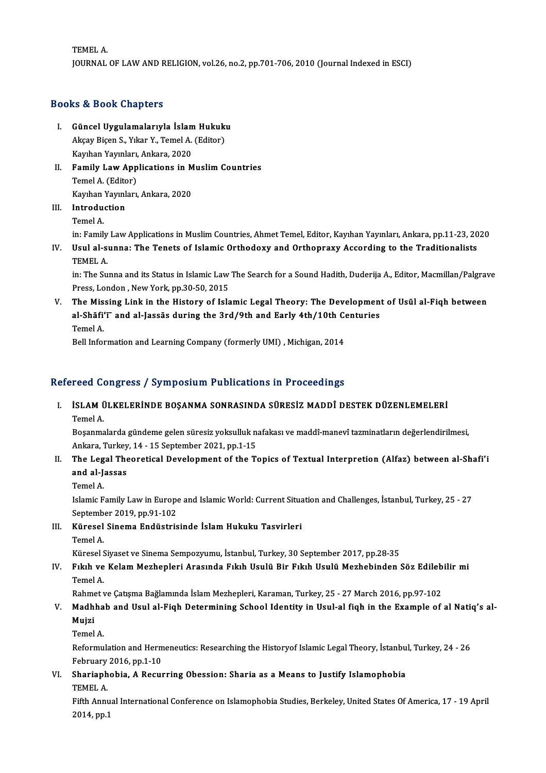TEMELA. JOURNALOF LAWANDRELIGION,vol.26,no.2,pp.701-706,2010 (Journal Indexed inESCI)

## Books&Book Chapters

- ooks & Book Chapters<br>I. Güncel Uygulamalarıyla İslam Hukuku<br>Akay Bisan S. Yıkar Y. Tamal A. (Editar) Akçay Biçen Sınap estesi<br>Güncel Uygulamalarıyla İslam Hukukı<br>Akçay Biçen S., Yıkar Y., Temel A. (Editor)<br>Kayıban Yayınları, Ankara, 2020 Güncel Uygulamalarıyla İslam<br>Akçay Biçen S., Yıkar Y., Temel A.<br>Kayıhan Yayınları, Ankara, 2020<br>Familu Law Annlisations in M Kayıhan Yayınları, Ankara, 2020
- Akçay Biçen S., Yıkar Y., Temel A. (Editor)<br>Kayıhan Yayınları, Ankara, 2020<br>II. Family Law Applications in Muslim Countries<br>Temel A. (Editor) Family Law Applications in M<br>Temel A. (Editor)<br>Kayıhan Yayınları, Ankara, 2020<br>Introdustion

III. Introduction<br>Temel A. Kayıhan<br>I**ntrodu**<br>Temel A.<br>in: Famil I<mark>ntroduction</mark><br>Temel A.<br>in: Family Law Applications in Muslim Countries, Ahmet Temel, Editor, Kayıhan Yayınları, Ankara, pp.11-23, 2020<br>Hayl al sunna: The Tenets of Jalamie Orthodowy and Orthonnawy Assonding to the Traditi

IV. Usul al-sunna: The Tenets of Islamic Orthodoxy and Orthopraxy According to the Traditionalists in: Family<br>Usul al-s<br>TEMEL A.<br>in: The Su Usul al-sunna: The Tenets of Islamic Orthodoxy and Orthopraxy According to the Traditionalists<br>TEMEL A.<br>in: The Sunna and its Status in Islamic Law The Search for a Sound Hadith, Duderija A., Editor, Macmillan/Palgrave<br>Pre

TEMEL A.<br>in: The Sunna and its Status in Islamic Law<br>Press, London , New York, pp.30-50, 2015<br>The Missing Link in the Histowy of Isla in: The Sunna and its Status in Islamic Law The Search for a Sound Hadith, Duderija A., Editor, Macmillan/Palgrav<br>Press, London , New York, pp.30-50, 2015<br>V. The Missing Link in the History of Islamic Legal Theory: The Dev

Press, London , New York, pp.30-50, 2015<br>The Missing Link in the History of Islamic Legal Theory: The Developmen<br>al-Shāfi'ī` and al-Jassās during the 3rd/9th and Early 4th/10th Centuries<br>Tamel A T<mark>he Mis</mark><br>al-Shāfi<br>Temel A.<br><sup>Poll Infol</sup> al-Shāfi'ī<sup>-</sup> and al-Jassās during the 3rd/9th and Early 4th/10th Co<br>Temel A.<br>Bell Information and Learning Company (formerly UMI) , Michigan, 2014

# Bell Information and Learning Company (formerly UMI) , Michigan, 2014<br>Refereed Congress / Symposium Publications in Proceedings

efereed Congress / Symposium Publications in Proceedings<br>I. İSLAM ÜLKELERİNDE BOŞANMA SONRASINDA SÜRESİZ MADDÎ DESTEK DÜZENLEMELERİ<br>Temel A Teca ex<br>ISLAM (<br>Temel A. İSLAM ÜLKELERİNDE BOŞANMA SONRASINDA SÜRESİZ MADDÎ DESTEK DÜZENLEMELERİ<br>Temel A.<br>Boşanmalarda gündeme gelen süresiz yoksulluk nafakası ve maddî-manevî tazminatların değerlendirilmesi,<br>Ankana Turkay 14, 15 Santambar 2021 nn

Temel A.<br>Boşanmalarda gündeme gelen süresiz yoksulluk n<br>Ankara, Turkey, 14 - 15 September 2021, pp.1-15<br>The Legal Theonatisal Develenment of the T. Boşanmalarda gündeme gelen süresiz yoksulluk nafakası ve maddî-manevî tazminatların değerlendirilmesi,<br>Ankara, Turkey, 14 - 15 September 2021, pp.1-15<br>II. The Legal Theoretical Development of the Topics of Textual Inte

## Ankara, Turkey<br>The Legal The<br>and al-Jassas<br><sup>Tamal A</sup> and al-Jassas<br>Temel A.

and al-Jassas<br>Temel A.<br>Islamic Family Law in Europe and Islamic World: Current Situation and Challenges, İstanbul, Turkey, 25 - 27<br>Sentember 2019, np.91 102 Temel A.<br>Islamic Family Law in Europe<br>September 2019, pp.91-102<br>Kürosel Sinoma Endüstris Islamic Family Law in Europe and Islamic World: Current Situa<br>September 2019, pp.91-102<br>III. Küresel Sinema Endüstrisinde İslam Hukuku Tasvirleri<br>Tamel A

Septemb<br><mark>Küresel</mark><br>Temel A.

Temel A.<br>Küresel Siyaset ve Sinema Sempozyumu, İstanbul, Turkey, 30 September 2017, pp.28-35

## Temel A.<br>Küresel Siyaset ve Sinema Sempozyumu, İstanbul, Turkey, 30 September 2017, pp.28-35<br>IV. Fıkıh ve Kelam Mezhepleri Arasında Fıkıh Usulü Bir Fıkıh Usulü Mezhebinden Söz Edilebilir mi<br>Temel A Küresel S<br>Fıkıh ve<br>Temel A. Fıkıh ve Kelam Mezhepleri Arasında Fıkıh Usulü Bir Fıkıh Usulü Mezhebinden Söz Edileb<br>Temel A.<br>Rahmet ve Çatışma Bağlamında İslam Mezhepleri, Karaman, Turkey, 25 - 27 March 2016, pp.97-102<br>Madhhah and Haul al Eish Datarmin

## Temel A.<br>Rahmet ve Çatışma Bağlamında İslam Mezhepleri, Karaman, Turkey, 25 - 27 March 2016, pp.97-102<br>V. Madhhab and Usul al-Fiqh Determining School Identity in Usul-al fiqh in the Example of al Natiq's al-<br>Mujri Rahme<br><mark>Madh</mark>l<br>Mujzi<br>Temal Madhha<br>Mujzi<br>Temel A.

Mujzi<br>Temel A.<br>Reformulation and Hermeneutics: Researching the Historyof Islamic Legal Theory, İstanbul, Turkey, 24 - 26<br>February 2016, pp.1, 10. Temel A.<br>Reformulation and Herm<br>February 2016, pp.1-10<br>Sharianhabia, A.Bagu Reformulation and Hermeneutics: Researching the Historyof Islamic Legal Theory, İstanbu<br>February 2016, pp.1-10<br>VI. Shariaphobia, A Recurring Obession: Sharia as a Means to Justify Islamophobia<br>TEMELA

February 2016, pp.1-10<br>VI. Shariaphobia, A Recurring Obession: Sharia as a Means to Justify Islamophobia<br>TEMEL A.

Fifth Annual International Conference on Islamophobia Studies, Berkeley, United States Of America, 17 - 19 April 2014,pp.1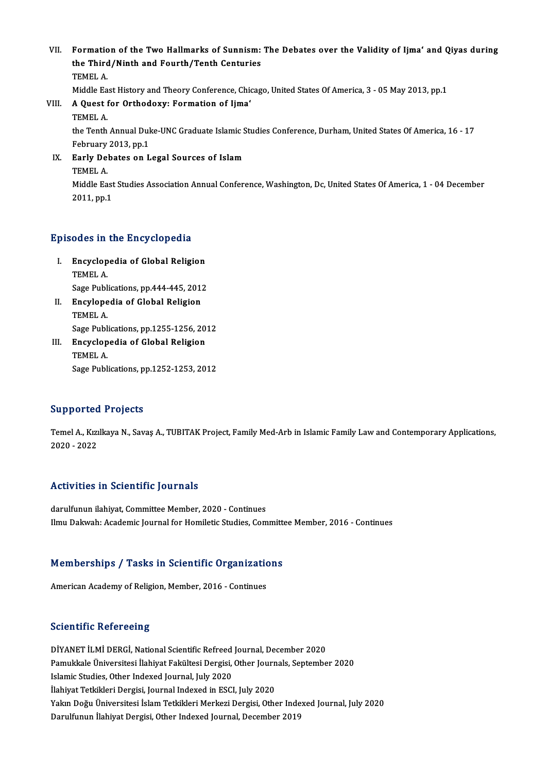- VII. Formation of the Two Hallmarks of Sunnism: The Debates over the Validity of Ijma' and Qiyas during<br>the Third (Ninth and Fourth (Tanth Contunies Formation of the Two Hallmarks of Sunnism:<br>the Third/Ninth and Fourth/Tenth Centuries<br>TEMEL A Formatio<br>the Third<br>TEMEL A.<br>Middle Fe the Third/Ninth and Fourth/Tenth Centuries<br>TEMEL A.<br>Middle East History and Theory Conference, Chicago, United States Of America, 3 - 05 May 2013, pp.1
	-
- TEMEL A.<br>Middle East History and Theory Conference, Chi<br>VIII. A Quest for Orthodoxy: Formation of Ijma'<br>TEMEL A. Middle Ea<br>**A Quest 1**<br>TEMEL A.<br>the Tenth A Quest for Orthodoxy: Formation of Ijma'<br>TEMEL A.<br>the Tenth Annual Duke-UNC Graduate Islamic Studies Conference, Durham, United States Of America, 16 - 17<br>February 2013, pp.1 TEMEL A.<br>the Tenth Annual Dul<br>February 2013, pp.1<br>Farly Debates on L the Tenth Annual Duke-UNC Graduate Islamic S<br>February 2013, pp.1<br>IX. Early Debates on Legal Sources of Islam<br>TEMEL A
	- February<br>Early De<br>TEMEL A.<br>Middle Fe Early Debates on Legal Sources of Islam<br>TEMEL A.<br>Middle East Studies Association Annual Conference, Washington, Dc, United States Of America, 1 - 04 December<br>2011. pp.1 TEMEL A.<br>Middle East<br>2011, pp.1

# Episodes in the Encyclopedia

- pisodes in the Encyclopedia<br>I. Encyclopedia of Global Religion<br>TEMEL A Encyclop<br>TEMEL A.<br>Sage Publ Encyclopedia of Global Religion<br>TEMEL A.<br>Sage Publications, pp.444-445, 2012<br>Engylopedia of Global Beligion Sage Publications, pp.444-445, 2012
- TEMEL A.<br>Sage Publications, pp.444-445, 201<br>II. Encylopedia of Global Religion<br>TEMEL A. Sage Publications, pp.1255-1256, 2012 TEMEL A.<br>Sage Publications, pp.1255-1256, 20<br>III. Encyclopedia of Global Religion<br>TEMEL A
- Sage Publ<br>**Encyclop**<br>TEMEL A.<br>Sage Publ TEMEL A.<br>Sage Publications, pp.1252-1253, 2012

### Supported Projects

Supported Projects<br>Temel A., Kızılkaya N., Savaş A., TUBITAK Project, Family Med-Arb in Islamic Family Law and Contemporary Applications,<br>2020 - 2022 2020 - 2022<br>2020 - 2022<br>2020 - 2022

# Activities in Scientific Journals

darulfunun ilahiyat, Committee Member, 2020 - Continues Ilmu Dakwah: Academic Journal for Homiletic Studies, Committee Member, 2016 - Continues

# nmu Dakwan: Academic journal for Homneuc Studies, Committed<br>Memberships / Tasks in Scientific Organizations Memberships / Tasks in Scientific Organizatio<br>American Academy of Religion, Member, 2016 - Continues

American Academy of Religion, Member, 2016 - Continues<br>Scientific Refereeing

Scientific Refereeing<br>DİYANET İLMİ DERGİ, National Scientific Refreed Journal, December 2020<br>Pamukkala Üniversitesi İlabiyat Fakültesi Dersisi, Other Journals Santamba Berentime Nerereemig<br>DİYANET İLMİ DERGİ, National Scientific Refreed Journal, December 2020<br>Pamukkale Üniversitesi İlahiyat Fakültesi Dergisi, Other Journals, September 2020<br>Johanic Studies, Other Indoved Journal, July 202 DİYANET İLMİ DERGİ, National Scientific Refreed<br>Pamukkale Üniversitesi İlahiyat Fakültesi Dergisi,<br>Islamic Studies, Other Indexed Journal, July 2020<br>İlahiyat Tatkikleri Dergisi, Journal Indexed in ESCl Pamukkale Üniversitesi İlahiyat Fakültesi Dergisi, Other Journ<br>Islamic Studies, Other Indexed Journal, July 2020<br>İlahiyat Tetkikleri Dergisi, Journal Indexed in ESCI, July 2020<br>Yakın Doğu Üniversitesi İslam Tetkikleri Merk Islamic Studies, Other Indexed Journal, July 2020<br>İlahiyat Tetkikleri Dergisi, Journal Indexed in ESCI, July 2020<br>Yakın Doğu Üniversitesi İslam Tetkikleri Merkezi Dergisi, Other Indexed Journal, July 2020 Darulfunun İlahiyat Dergisi, Other Indexed Journal, December 2019